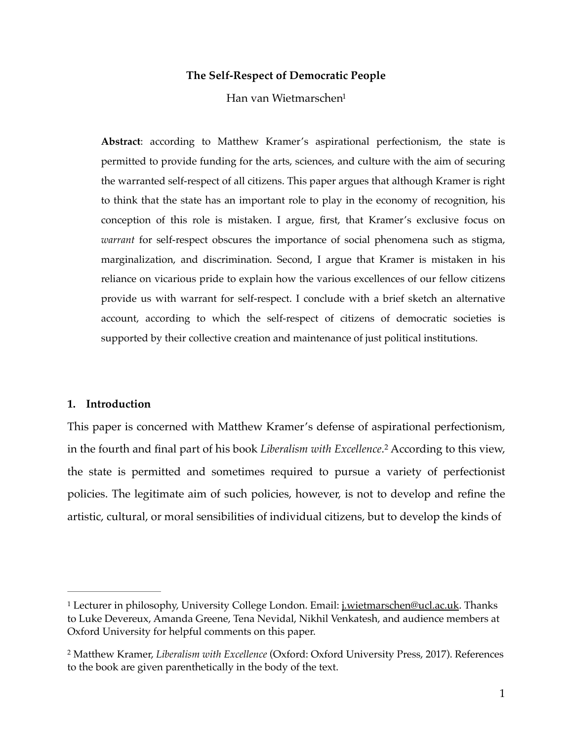# **The Self-Respect of Democratic People**

<span id="page-0-2"></span>Han van Wietmarsche[n1](#page-0-0)

**Abstract**: according to Matthew Kramer's aspirational perfectionism, the state is permitted to provide funding for the arts, sciences, and culture with the aim of securing the warranted self-respect of all citizens. This paper argues that although Kramer is right to think that the state has an important role to play in the economy of recognition, his conception of this role is mistaken. I argue, first, that Kramer's exclusive focus on *warrant* for self-respect obscures the importance of social phenomena such as stigma, marginalization, and discrimination. Second, I argue that Kramer is mistaken in his reliance on vicarious pride to explain how the various excellences of our fellow citizens provide us with warrant for self-respect. I conclude with a brief sketch an alternative account, according to which the self-respect of citizens of democratic societies is supported by their collective creation and maintenance of just political institutions.

## **1. Introduction**

<span id="page-0-3"></span>This paper is concerned with Matthew Kramer's defense of aspirational perfectionism, inthe fourth and final part of his book *Liberalism with Excellence*.<sup>[2](#page-0-1)</sup> According to this view, the state is permitted and sometimes required to pursue a variety of perfectionist policies. The legitimate aim of such policies, however, is not to develop and refine the artistic, cultural, or moral sensibilities of individual citizens, but to develop the kinds of

<span id="page-0-0"></span><sup>&</sup>lt;sup>1</sup>Lecturer in philosophy, University College London. Email: *j.wietmarschen@ucl.ac.uk*. Thanks to Luke Devereux, Amanda Greene, Tena Nevidal, Nikhil Venkatesh, and audience members at Oxford University for helpful comments on this paper.

<span id="page-0-1"></span><sup>&</sup>lt;sup>[2](#page-0-3)</sup> Matthew Kramer, *Liberalism with Excellence* (Oxford: Oxford University Press, 2017). References to the book are given parenthetically in the body of the text.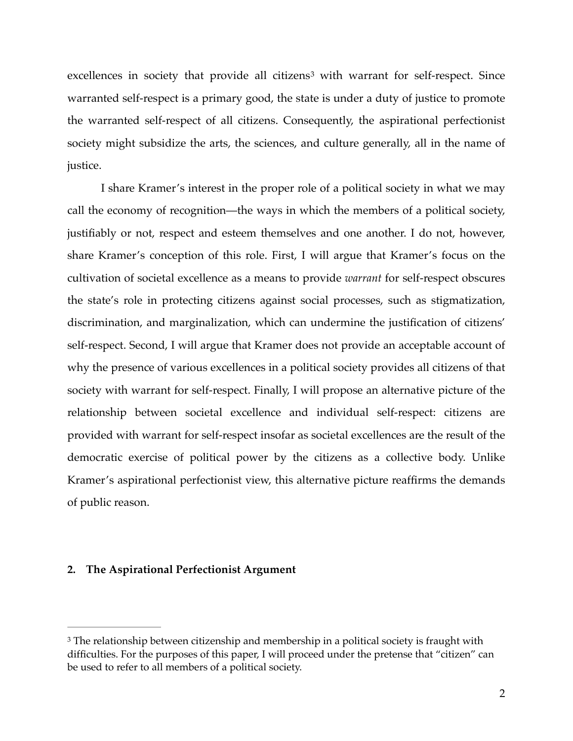<span id="page-1-1"></span>excellences in society that provide all citizens<sup>[3](#page-1-0)</sup> with warrant for self-respect. Since warranted self-respect is a primary good, the state is under a duty of justice to promote the warranted self-respect of all citizens. Consequently, the aspirational perfectionist society might subsidize the arts, the sciences, and culture generally, all in the name of justice.

I share Kramer's interest in the proper role of a political society in what we may call the economy of recognition—the ways in which the members of a political society, justifiably or not, respect and esteem themselves and one another. I do not, however, share Kramer's conception of this role. First, I will argue that Kramer's focus on the cultivation of societal excellence as a means to provide *warrant* for self-respect obscures the state's role in protecting citizens against social processes, such as stigmatization, discrimination, and marginalization, which can undermine the justification of citizens' self-respect. Second, I will argue that Kramer does not provide an acceptable account of why the presence of various excellences in a political society provides all citizens of that society with warrant for self-respect. Finally, I will propose an alternative picture of the relationship between societal excellence and individual self-respect: citizens are provided with warrant for self-respect insofar as societal excellences are the result of the democratic exercise of political power by the citizens as a collective body. Unlike Kramer's aspirational perfectionist view, this alternative picture reaffirms the demands of public reason.

### **2. The Aspirational Perfectionist Argument**

<span id="page-1-0"></span> $3$  The relationship between citizenship and membership in a political society is fraught with difficulties. For the purposes of this paper, I will proceed under the pretense that "citizen" can be used to refer to all members of a political society.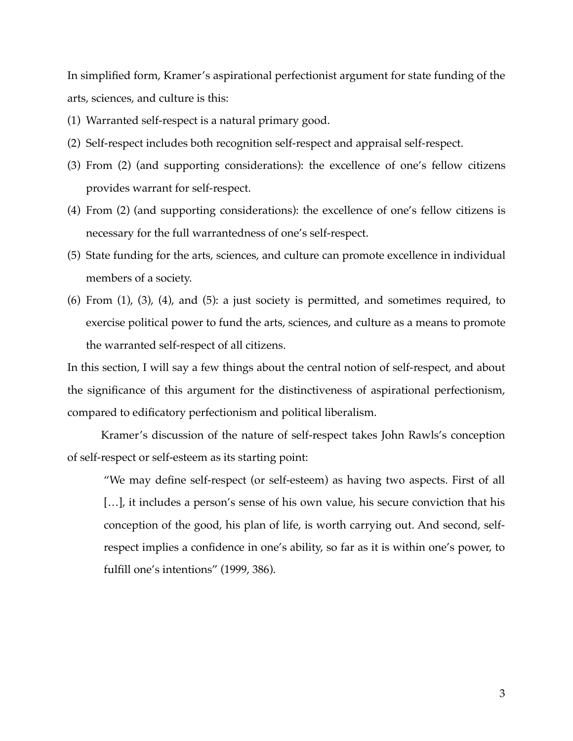In simplified form, Kramer's aspirational perfectionist argument for state funding of the arts, sciences, and culture is this:

- (1) Warranted self-respect is a natural primary good.
- (2) Self-respect includes both recognition self-respect and appraisal self-respect.
- (3) From (2) (and supporting considerations): the excellence of one's fellow citizens provides warrant for self-respect.
- (4) From (2) (and supporting considerations): the excellence of one's fellow citizens is necessary for the full warrantedness of one's self-respect.
- (5) State funding for the arts, sciences, and culture can promote excellence in individual members of a society.
- (6) From (1), (3), (4), and (5): a just society is permitted, and sometimes required, to exercise political power to fund the arts, sciences, and culture as a means to promote the warranted self-respect of all citizens.

In this section, I will say a few things about the central notion of self-respect, and about the significance of this argument for the distinctiveness of aspirational perfectionism, compared to edificatory perfectionism and political liberalism.

Kramer's discussion of the nature of self-respect takes John Rawls's conception of self-respect or self-esteem as its starting point:

"We may define self-respect (or self-esteem) as having two aspects. First of all [...], it includes a person's sense of his own value, his secure conviction that his conception of the good, his plan of life, is worth carrying out. And second, selfrespect implies a confidence in one's ability, so far as it is within one's power, to fulfill one's intentions" (1999, 386).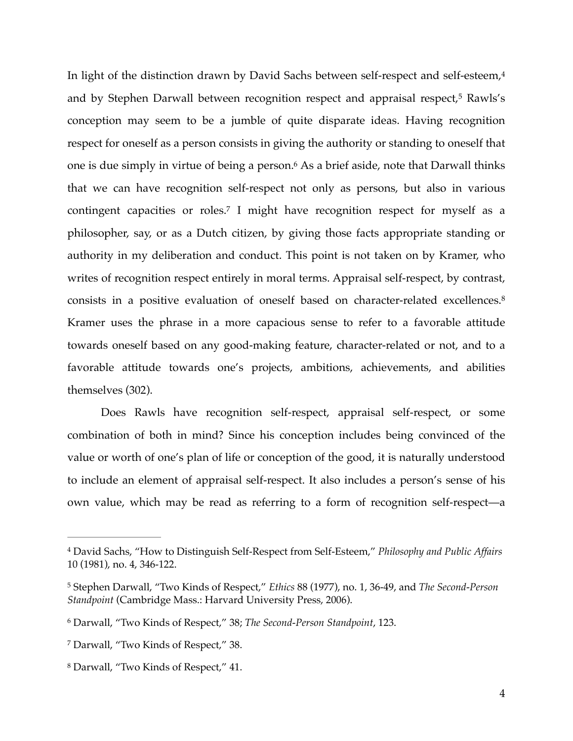<span id="page-3-8"></span><span id="page-3-7"></span><span id="page-3-6"></span><span id="page-3-5"></span>In light of the distinction drawn by David Sachs between self-respect and self-esteem,<sup>[4](#page-3-0)</sup> andby Stephen Darwall between recognition respect and appraisal respect,<sup>[5](#page-3-1)</sup> Rawls's conception may seem to be a jumble of quite disparate ideas. Having recognition respect for oneself as a person consists in giving the authority or standing to oneself that one is due simply in virtue of being a person[.](#page-3-2)<sup> $6$ </sup> As a brief aside, note that Darwall thinks that we can have recognition self-respect not only as persons, but also in various contingent capacities or roles[.](#page-3-3)<sup>[7](#page-3-3)</sup> I might have recognition respect for myself as a philosopher, say, or as a Dutch citizen, by giving those facts appropriate standing or authority in my deliberation and conduct. This point is not taken on by Kramer, who writes of recognition respect entirely in moral terms. Appraisal self-respect, by contrast, consists in a positive evaluation of oneself based on character-related excellences.[8](#page-3-4) Kramer uses the phrase in a more capacious sense to refer to a favorable attitude towards oneself based on any good-making feature, character-related or not, and to a favorable attitude towards one's projects, ambitions, achievements, and abilities themselves (302).

<span id="page-3-9"></span>Does Rawls have recognition self-respect, appraisal self-respect, or some combination of both in mind? Since his conception includes being convinced of the value or worth of one's plan of life or conception of the good, it is naturally understood to include an element of appraisal self-respect. It also includes a person's sense of his own value, which may be read as referring to a form of recognition self-respect—a

<span id="page-3-0"></span>David Sachs, "How to Distinguish Self-Respect from Self-Esteem," *Philosophy and Public Affairs* [4](#page-3-5) 10 (1981), no. 4, 346-122.

<span id="page-3-1"></span>Stephen Darwall, "Two Kinds of Respect," *Ethics* 88 (1977), no. 1, 36-49, and *The Second-Person* [5](#page-3-6) *Standpoint* (Cambridge Mass.: Harvard University Press, 2006).

<span id="page-3-2"></span>Darwall, "Two Kinds of Respect," 38; *The Second-Person Standpoint*, 123. [6](#page-3-7)

<span id="page-3-3"></span>Darwall, "Two Kinds of Respect," 38. [7](#page-3-8)

<span id="page-3-4"></span><sup>&</sup>lt;sup>[8](#page-3-9)</sup> Darwall, "Two Kinds of Respect," 41.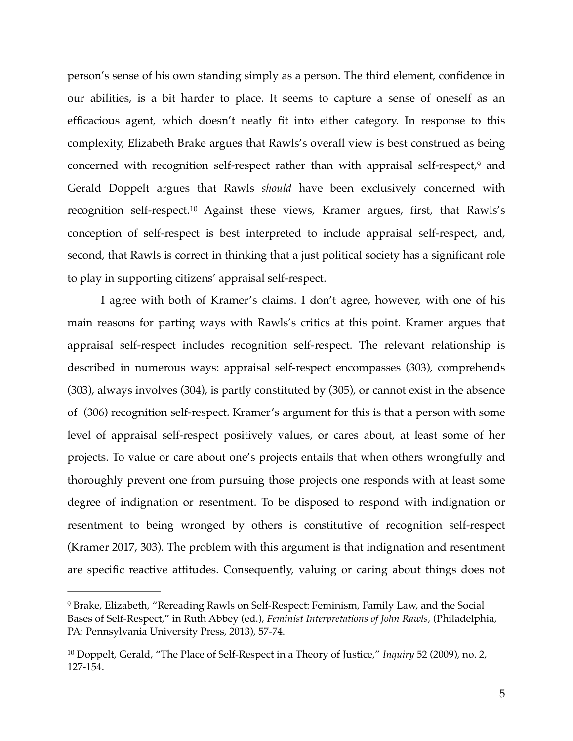<span id="page-4-2"></span>person's sense of his own standing simply as a person. The third element, confidence in our abilities, is a bit harder to place. It seems to capture a sense of oneself as an efficacious agent, which doesn't neatly fit into either category. In response to this complexity, Elizabeth Brake argues that Rawls's overall view is best construed as being concerned with recognition self-respect rather than with appraisal self-respect, $9$  and Gerald Doppelt argues that Rawls *should* have been exclusively concerned with recognition self-respect.<sup>[10](#page-4-1)</sup> Against these views, Kramer argues, first, that Rawls's conception of self-respect is best interpreted to include appraisal self-respect, and, second, that Rawls is correct in thinking that a just political society has a significant role to play in supporting citizens' appraisal self-respect.

<span id="page-4-3"></span>I agree with both of Kramer's claims. I don't agree, however, with one of his main reasons for parting ways with Rawls's critics at this point. Kramer argues that appraisal self-respect includes recognition self-respect. The relevant relationship is described in numerous ways: appraisal self-respect encompasses (303), comprehends (303), always involves (304), is partly constituted by (305), or cannot exist in the absence of (306) recognition self-respect. Kramer's argument for this is that a person with some level of appraisal self-respect positively values, or cares about, at least some of her projects. To value or care about one's projects entails that when others wrongfully and thoroughly prevent one from pursuing those projects one responds with at least some degree of indignation or resentment. To be disposed to respond with indignation or resentment to being wronged by others is constitutive of recognition self-respect (Kramer 2017, 303). The problem with this argument is that indignation and resentment are specific reactive attitudes. Consequently, valuing or caring about things does not

<span id="page-4-0"></span>Brake, Elizabeth, "Rereading Rawls on Self-Respect: Feminism, Family Law, and the Social [9](#page-4-2) Bases of Self-Respect," in Ruth Abbey (ed.), *Feminist Interpretations of John Rawls,* (Philadelphia, PA: Pennsylvania University Press, 2013), 57-74.

<span id="page-4-1"></span><sup>&</sup>lt;sup>[10](#page-4-3)</sup> Doppelt, Gerald, "The Place of Self-Respect in a Theory of Justice," *Inquiry* 52 (2009), no. 2, 127-154.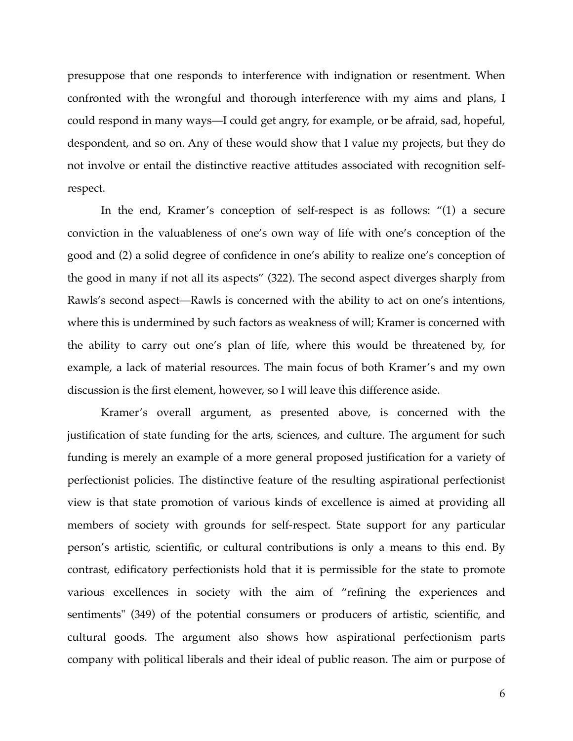presuppose that one responds to interference with indignation or resentment. When confronted with the wrongful and thorough interference with my aims and plans, I could respond in many ways—I could get angry, for example, or be afraid, sad, hopeful, despondent, and so on. Any of these would show that I value my projects, but they do not involve or entail the distinctive reactive attitudes associated with recognition selfrespect.

In the end, Kramer's conception of self-respect is as follows: "(1) a secure conviction in the valuableness of one's own way of life with one's conception of the good and (2) a solid degree of confidence in one's ability to realize one's conception of the good in many if not all its aspects" (322). The second aspect diverges sharply from Rawls's second aspect—Rawls is concerned with the ability to act on one's intentions, where this is undermined by such factors as weakness of will; Kramer is concerned with the ability to carry out one's plan of life, where this would be threatened by, for example, a lack of material resources. The main focus of both Kramer's and my own discussion is the first element, however, so I will leave this difference aside.

Kramer's overall argument, as presented above, is concerned with the justification of state funding for the arts, sciences, and culture. The argument for such funding is merely an example of a more general proposed justification for a variety of perfectionist policies. The distinctive feature of the resulting aspirational perfectionist view is that state promotion of various kinds of excellence is aimed at providing all members of society with grounds for self-respect. State support for any particular person's artistic, scientific, or cultural contributions is only a means to this end. By contrast, edificatory perfectionists hold that it is permissible for the state to promote various excellences in society with the aim of "refining the experiences and sentiments" (349) of the potential consumers or producers of artistic, scientific, and cultural goods. The argument also shows how aspirational perfectionism parts company with political liberals and their ideal of public reason. The aim or purpose of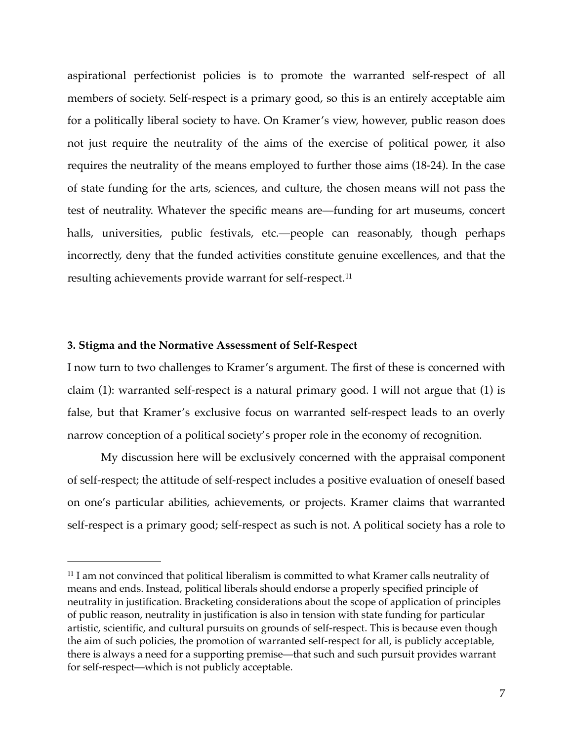aspirational perfectionist policies is to promote the warranted self-respect of all members of society. Self-respect is a primary good, so this is an entirely acceptable aim for a politically liberal society to have. On Kramer's view, however, public reason does not just require the neutrality of the aims of the exercise of political power, it also requires the neutrality of the means employed to further those aims (18-24). In the case of state funding for the arts, sciences, and culture, the chosen means will not pass the test of neutrality. Whatever the specific means are—funding for art museums, concert halls, universities, public festivals, etc.—people can reasonably, though perhaps incorrectly, deny that the funded activities constitute genuine excellences, and that the resulting achievements provide warrant for self-respect.[11](#page-6-0)

# <span id="page-6-1"></span>**3. Stigma and the Normative Assessment of Self-Respect**

I now turn to two challenges to Kramer's argument. The first of these is concerned with claim (1): warranted self-respect is a natural primary good. I will not argue that (1) is false, but that Kramer's exclusive focus on warranted self-respect leads to an overly narrow conception of a political society's proper role in the economy of recognition.

My discussion here will be exclusively concerned with the appraisal component of self-respect; the attitude of self-respect includes a positive evaluation of oneself based on one's particular abilities, achievements, or projects. Kramer claims that warranted self-respect is a primary good; self-respect as such is not. A political society has a role to

<span id="page-6-0"></span> $11$  I am not convinced that political liberalism is committed to what Kramer calls neutrality of means and ends. Instead, political liberals should endorse a properly specified principle of neutrality in justification. Bracketing considerations about the scope of application of principles of public reason, neutrality in justification is also in tension with state funding for particular artistic, scientific, and cultural pursuits on grounds of self-respect. This is because even though the aim of such policies, the promotion of warranted self-respect for all, is publicly acceptable, there is always a need for a supporting premise—that such and such pursuit provides warrant for self-respect—which is not publicly acceptable.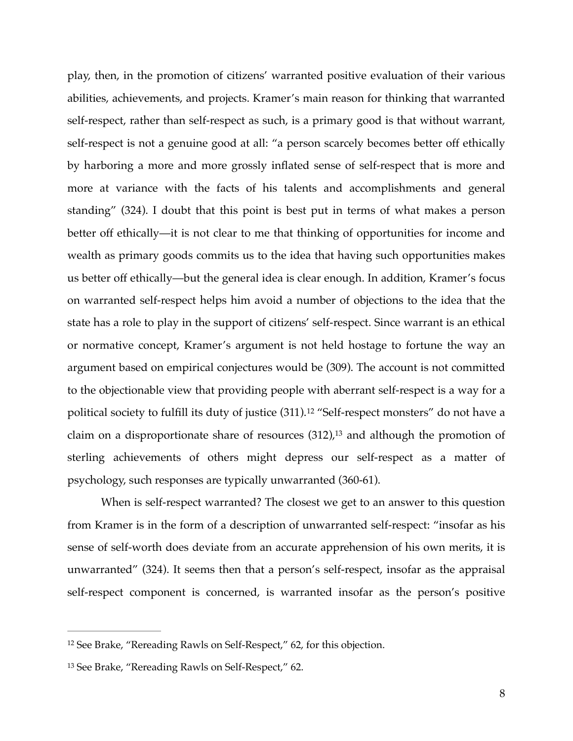play, then, in the promotion of citizens' warranted positive evaluation of their various abilities, achievements, and projects. Kramer's main reason for thinking that warranted self-respect, rather than self-respect as such, is a primary good is that without warrant, self-respect is not a genuine good at all: "a person scarcely becomes better off ethically by harboring a more and more grossly inflated sense of self-respect that is more and more at variance with the facts of his talents and accomplishments and general standing" (324). I doubt that this point is best put in terms of what makes a person better off ethically—it is not clear to me that thinking of opportunities for income and wealth as primary goods commits us to the idea that having such opportunities makes us better off ethically—but the general idea is clear enough. In addition, Kramer's focus on warranted self-respect helps him avoid a number of objections to the idea that the state has a role to play in the support of citizens' self-respect. Since warrant is an ethical or normative concept, Kramer's argument is not held hostage to fortune the way an argument based on empirical conjectures would be (309). The account is not committed to the objectionable view that providing people with aberrant self-respect is a way for a politicalsociety to fulfill its duty of justice (311).<sup>[12](#page-7-0)</sup> "Self-respect monsters" do not have a claim on a disproportionate share of resources  $(312)$ ,<sup>[13](#page-7-1)</sup> and although the promotion of sterling achievements of others might depress our self-respect as a matter of psychology, such responses are typically unwarranted (360-61).

<span id="page-7-3"></span><span id="page-7-2"></span>When is self-respect warranted? The closest we get to an answer to this question from Kramer is in the form of a description of unwarranted self-respect: "insofar as his sense of self-worth does deviate from an accurate apprehension of his own merits, it is unwarranted" (324). It seems then that a person's self-respect, insofar as the appraisal self-respect component is concerned, is warranted insofar as the person's positive

<span id="page-7-0"></span><sup>&</sup>lt;sup>[12](#page-7-2)</sup> See Brake, "Rereading Rawls on Self-Respect," 62, for this objection.

<span id="page-7-1"></span><sup>&</sup>lt;sup>[13](#page-7-3)</sup> See Brake, "Rereading Rawls on Self-Respect," 62.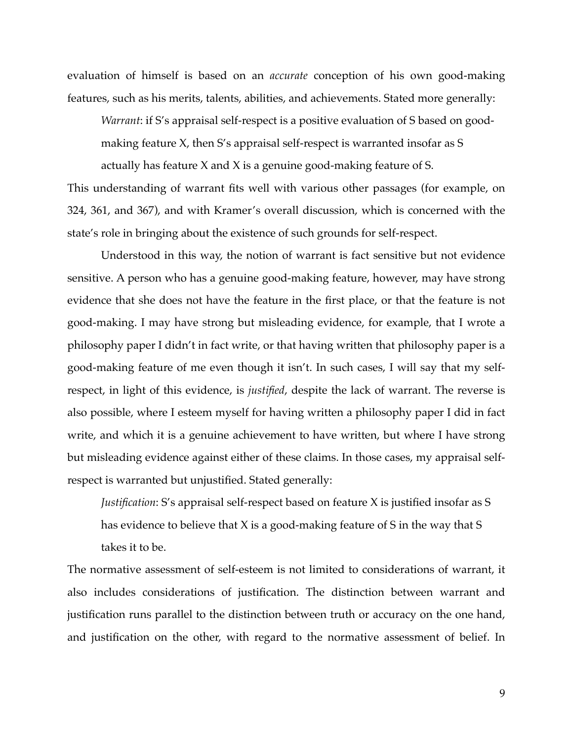evaluation of himself is based on an *accurate* conception of his own good-making features, such as his merits, talents, abilities, and achievements. Stated more generally:

*Warrant*: if S's appraisal self-respect is a positive evaluation of S based on goodmaking feature X, then S's appraisal self-respect is warranted insofar as S

actually has feature X and X is a genuine good-making feature of S.

This understanding of warrant fits well with various other passages (for example, on 324, 361, and 367), and with Kramer's overall discussion, which is concerned with the state's role in bringing about the existence of such grounds for self-respect.

Understood in this way, the notion of warrant is fact sensitive but not evidence sensitive. A person who has a genuine good-making feature, however, may have strong evidence that she does not have the feature in the first place, or that the feature is not good-making. I may have strong but misleading evidence, for example, that I wrote a philosophy paper I didn't in fact write, or that having written that philosophy paper is a good-making feature of me even though it isn't. In such cases, I will say that my selfrespect, in light of this evidence, is *justified*, despite the lack of warrant. The reverse is also possible, where I esteem myself for having written a philosophy paper I did in fact write, and which it is a genuine achievement to have written, but where I have strong but misleading evidence against either of these claims. In those cases, my appraisal selfrespect is warranted but unjustified. Stated generally:

*Justification*: S's appraisal self-respect based on feature X is justified insofar as S has evidence to believe that X is a good-making feature of S in the way that S takes it to be.

The normative assessment of self-esteem is not limited to considerations of warrant, it also includes considerations of justification. The distinction between warrant and justification runs parallel to the distinction between truth or accuracy on the one hand, and justification on the other, with regard to the normative assessment of belief. In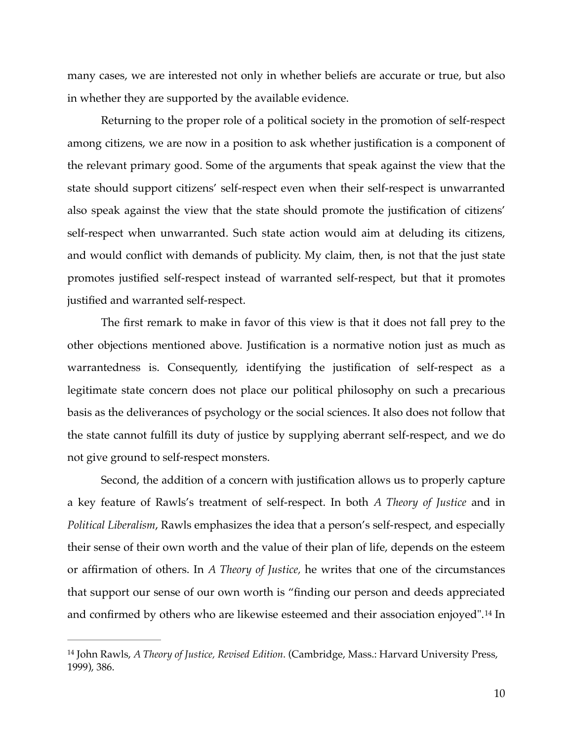many cases, we are interested not only in whether beliefs are accurate or true, but also in whether they are supported by the available evidence.

Returning to the proper role of a political society in the promotion of self-respect among citizens, we are now in a position to ask whether justification is a component of the relevant primary good. Some of the arguments that speak against the view that the state should support citizens' self-respect even when their self-respect is unwarranted also speak against the view that the state should promote the justification of citizens' self-respect when unwarranted. Such state action would aim at deluding its citizens, and would conflict with demands of publicity. My claim, then, is not that the just state promotes justified self-respect instead of warranted self-respect, but that it promotes justified and warranted self-respect.

The first remark to make in favor of this view is that it does not fall prey to the other objections mentioned above. Justification is a normative notion just as much as warrantedness is. Consequently, identifying the justification of self-respect as a legitimate state concern does not place our political philosophy on such a precarious basis as the deliverances of psychology or the social sciences. It also does not follow that the state cannot fulfill its duty of justice by supplying aberrant self-respect, and we do not give ground to self-respect monsters.

Second, the addition of a concern with justification allows us to properly capture a key feature of Rawls's treatment of self-respect. In both *A Theory of Justice* and in *Political Liberalism*, Rawls emphasizes the idea that a person's self-respect, and especially their sense of their own worth and the value of their plan of life, depends on the esteem or affirmation of others. In *A Theory of Justice,* he writes that one of the circumstances that support our sense of our own worth is "finding our person and deeds appreciated andconfirmed by others who are likewise esteemed and their association enjoyed".<sup>[14](#page-9-0)</sup> In

<span id="page-9-1"></span><span id="page-9-0"></span><sup>&</sup>lt;sup>[14](#page-9-1)</sup> John Rawls, *A Theory of Justice, Revised Edition*. (Cambridge, Mass.: Harvard University Press, 1999), 386.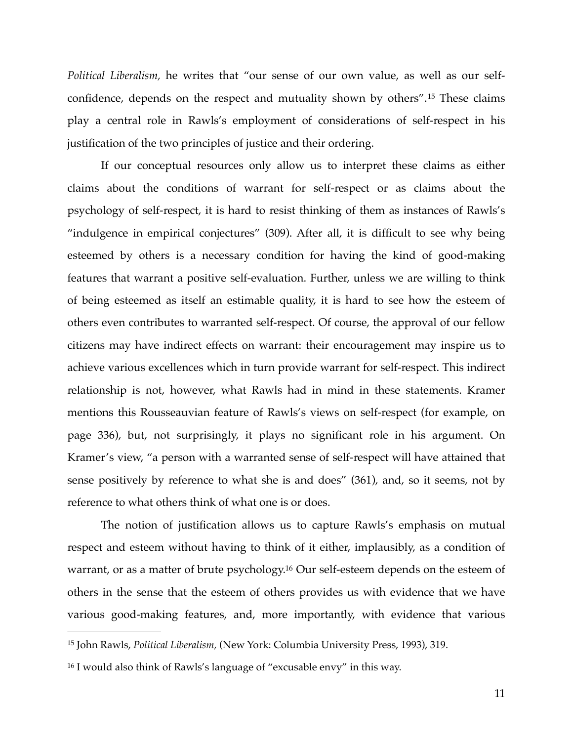<span id="page-10-2"></span>*Political Liberalism,* he writes that "our sense of our own value, as well as our self-confidence,depends on the respect and mutuality shown by others".<sup>[15](#page-10-0)</sup> These claims play a central role in Rawls's employment of considerations of self-respect in his justification of the two principles of justice and their ordering.

If our conceptual resources only allow us to interpret these claims as either claims about the conditions of warrant for self-respect or as claims about the psychology of self-respect, it is hard to resist thinking of them as instances of Rawls's "indulgence in empirical conjectures" (309). After all, it is difficult to see why being esteemed by others is a necessary condition for having the kind of good-making features that warrant a positive self-evaluation. Further, unless we are willing to think of being esteemed as itself an estimable quality, it is hard to see how the esteem of others even contributes to warranted self-respect. Of course, the approval of our fellow citizens may have indirect effects on warrant: their encouragement may inspire us to achieve various excellences which in turn provide warrant for self-respect. This indirect relationship is not, however, what Rawls had in mind in these statements. Kramer mentions this Rousseauvian feature of Rawls's views on self-respect (for example, on page 336), but, not surprisingly, it plays no significant role in his argument. On Kramer's view, "a person with a warranted sense of self-respect will have attained that sense positively by reference to what she is and does" (361), and, so it seems, not by reference to what others think of what one is or does.

<span id="page-10-3"></span>The notion of justification allows us to capture Rawls's emphasis on mutual respect and esteem without having to think of it either, implausibly, as a condition of warrant, or as a matter of brute psychology.<sup>[16](#page-10-1)</sup> Our self-esteem depends on the esteem of others in the sense that the esteem of others provides us with evidence that we have various good-making features, and, more importantly, with evidence that various

<span id="page-10-0"></span><sup>&</sup>lt;sup>[15](#page-10-2)</sup> John Rawls, *Political Liberalism*, (New York: Columbia University Press, 1993), 319.

<span id="page-10-1"></span><sup>&</sup>lt;sup>[16](#page-10-3)</sup> I would also think of Rawls's language of "excusable envy" in this way.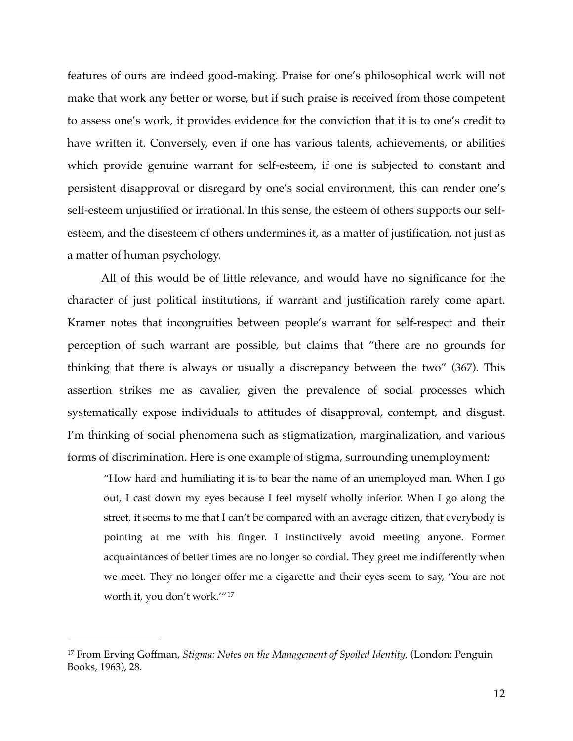features of ours are indeed good-making. Praise for one's philosophical work will not make that work any better or worse, but if such praise is received from those competent to assess one's work, it provides evidence for the conviction that it is to one's credit to have written it. Conversely, even if one has various talents, achievements, or abilities which provide genuine warrant for self-esteem, if one is subjected to constant and persistent disapproval or disregard by one's social environment, this can render one's self-esteem unjustified or irrational. In this sense, the esteem of others supports our selfesteem, and the disesteem of others undermines it, as a matter of justification, not just as a matter of human psychology.

All of this would be of little relevance, and would have no significance for the character of just political institutions, if warrant and justification rarely come apart. Kramer notes that incongruities between people's warrant for self-respect and their perception of such warrant are possible, but claims that "there are no grounds for thinking that there is always or usually a discrepancy between the two" (367). This assertion strikes me as cavalier, given the prevalence of social processes which systematically expose individuals to attitudes of disapproval, contempt, and disgust. I'm thinking of social phenomena such as stigmatization, marginalization, and various forms of discrimination. Here is one example of stigma, surrounding unemployment:

<span id="page-11-1"></span>"How hard and humiliating it is to bear the name of an unemployed man. When I go out, I cast down my eyes because I feel myself wholly inferior. When I go along the street, it seems to me that I can't be compared with an average citizen, that everybody is pointing at me with his finger. I instinctively avoid meeting anyone. Former acquaintances of better times are no longer so cordial. They greet me indifferently when we meet. They no longer offer me a cigarette and their eyes seem to say, 'You are not worth it, you don't work.'"[17](#page-11-0)

<span id="page-11-0"></span><sup>&</sup>lt;sup>[17](#page-11-1)</sup> From Erving Goffman, *Stigma: Notes on the Management of Spoiled Identity*, (London: Penguin Books, 1963), 28.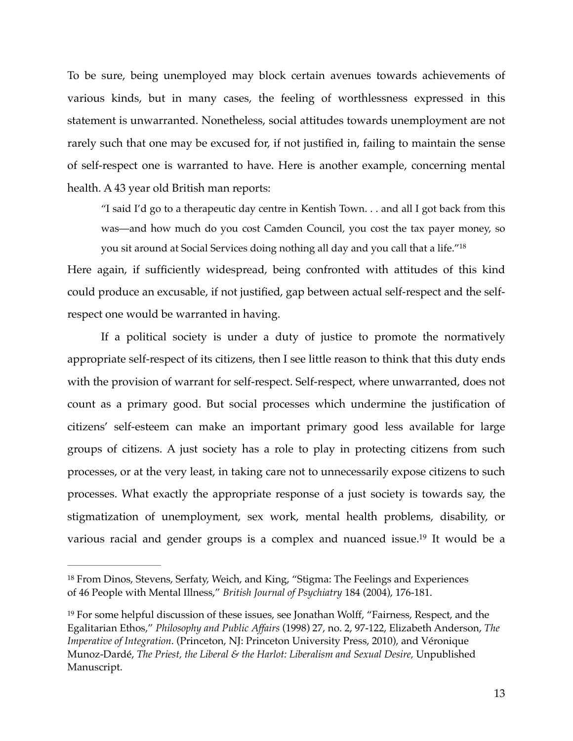To be sure, being unemployed may block certain avenues towards achievements of various kinds, but in many cases, the feeling of worthlessness expressed in this statement is unwarranted. Nonetheless, social attitudes towards unemployment are not rarely such that one may be excused for, if not justified in, failing to maintain the sense of self-respect one is warranted to have. Here is another example, concerning mental health. A 43 year old British man reports:

<span id="page-12-2"></span>"I said I'd go to a therapeutic day centre in Kentish Town. . . and all I got back from this was—and how much do you cost Camden Council, you cost the tax payer money, so you sit around at Social Services doing nothing all day and you call that a life.["18](#page-12-0)

Here again, if sufficiently widespread, being confronted with attitudes of this kind could produce an excusable, if not justified, gap between actual self-respect and the selfrespect one would be warranted in having.

If a political society is under a duty of justice to promote the normatively appropriate self-respect of its citizens, then I see little reason to think that this duty ends with the provision of warrant for self-respect. Self-respect, where unwarranted, does not count as a primary good. But social processes which undermine the justification of citizens' self-esteem can make an important primary good less available for large groups of citizens. A just society has a role to play in protecting citizens from such processes, or at the very least, in taking care not to unnecessarily expose citizens to such processes. What exactly the appropriate response of a just society is towards say, the stigmatization of unemployment, sex work, mental health problems, disability, or various racial and gender groups is a complex and nuanced issue.<sup>[19](#page-12-1)</sup> It would be a

<span id="page-12-3"></span><span id="page-12-0"></span><sup>&</sup>lt;sup>[18](#page-12-2)</sup> From Dinos, Stevens, Serfaty, Weich, and King, "Stigma: The Feelings and Experiences of 46 People with Mental Illness," *British Journal of Psychiatry* 184 (2004), 176-181.

<span id="page-12-1"></span><sup>&</sup>lt;sup>[19](#page-12-3)</sup> For some helpful discussion of these issues, see Jonathan Wolff, "Fairness, Respect, and the Egalitarian Ethos," *Philosophy and Public Affairs* (1998) 27, no. 2, 97-122, Elizabeth Anderson, *The Imperative of Integration*. (Princeton, NJ: Princeton University Press, 2010), and Véronique Munoz-Dardé, *The Priest, the Liberal & the Harlot: Liberalism and Sexual Desire,* Unpublished Manuscript.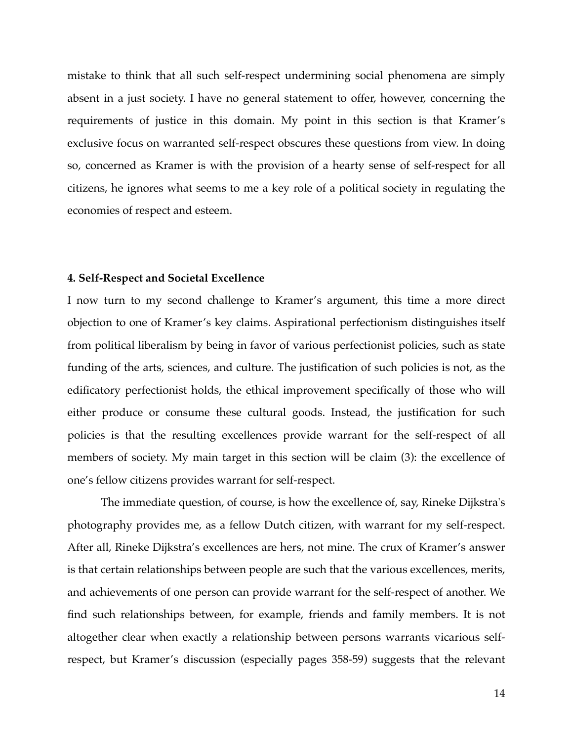mistake to think that all such self-respect undermining social phenomena are simply absent in a just society. I have no general statement to offer, however, concerning the requirements of justice in this domain. My point in this section is that Kramer's exclusive focus on warranted self-respect obscures these questions from view. In doing so, concerned as Kramer is with the provision of a hearty sense of self-respect for all citizens, he ignores what seems to me a key role of a political society in regulating the economies of respect and esteem.

### **4. Self-Respect and Societal Excellence**

I now turn to my second challenge to Kramer's argument, this time a more direct objection to one of Kramer's key claims. Aspirational perfectionism distinguishes itself from political liberalism by being in favor of various perfectionist policies, such as state funding of the arts, sciences, and culture. The justification of such policies is not, as the edificatory perfectionist holds, the ethical improvement specifically of those who will either produce or consume these cultural goods. Instead, the justification for such policies is that the resulting excellences provide warrant for the self-respect of all members of society. My main target in this section will be claim (3): the excellence of one's fellow citizens provides warrant for self-respect.

The immediate question, of course, is how the excellence of, say, Rineke Dijkstra's photography provides me, as a fellow Dutch citizen, with warrant for my self-respect. After all, Rineke Dijkstra's excellences are hers, not mine. The crux of Kramer's answer is that certain relationships between people are such that the various excellences, merits, and achievements of one person can provide warrant for the self-respect of another. We find such relationships between, for example, friends and family members. It is not altogether clear when exactly a relationship between persons warrants vicarious selfrespect, but Kramer's discussion (especially pages 358-59) suggests that the relevant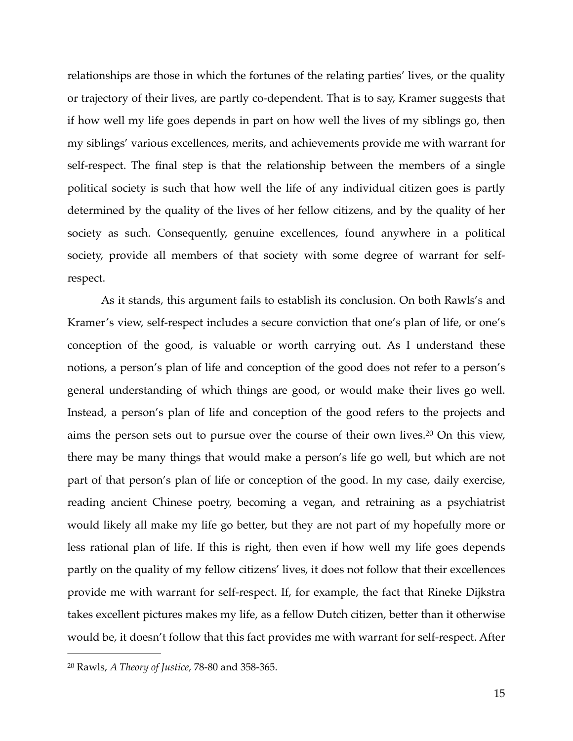relationships are those in which the fortunes of the relating parties' lives, or the quality or trajectory of their lives, are partly co-dependent. That is to say, Kramer suggests that if how well my life goes depends in part on how well the lives of my siblings go, then my siblings' various excellences, merits, and achievements provide me with warrant for self-respect. The final step is that the relationship between the members of a single political society is such that how well the life of any individual citizen goes is partly determined by the quality of the lives of her fellow citizens, and by the quality of her society as such. Consequently, genuine excellences, found anywhere in a political society, provide all members of that society with some degree of warrant for selfrespect.

<span id="page-14-1"></span>As it stands, this argument fails to establish its conclusion. On both Rawls's and Kramer's view, self-respect includes a secure conviction that one's plan of life, or one's conception of the good, is valuable or worth carrying out. As I understand these notions, a person's plan of life and conception of the good does not refer to a person's general understanding of which things are good, or would make their lives go well. Instead, a person's plan of life and conception of the good refers to the projects and aimsthe person sets out to pursue over the course of their own lives.<sup>[20](#page-14-0)</sup> On this view, there may be many things that would make a person's life go well, but which are not part of that person's plan of life or conception of the good. In my case, daily exercise, reading ancient Chinese poetry, becoming a vegan, and retraining as a psychiatrist would likely all make my life go better, but they are not part of my hopefully more or less rational plan of life. If this is right, then even if how well my life goes depends partly on the quality of my fellow citizens' lives, it does not follow that their excellences provide me with warrant for self-respect. If, for example, the fact that Rineke Dijkstra takes excellent pictures makes my life, as a fellow Dutch citizen, better than it otherwise would be, it doesn't follow that this fact provides me with warrant for self-respect. After

<span id="page-14-0"></span>Rawls, *A Theory of Justice*, 78-80 and 358-365. [20](#page-14-1)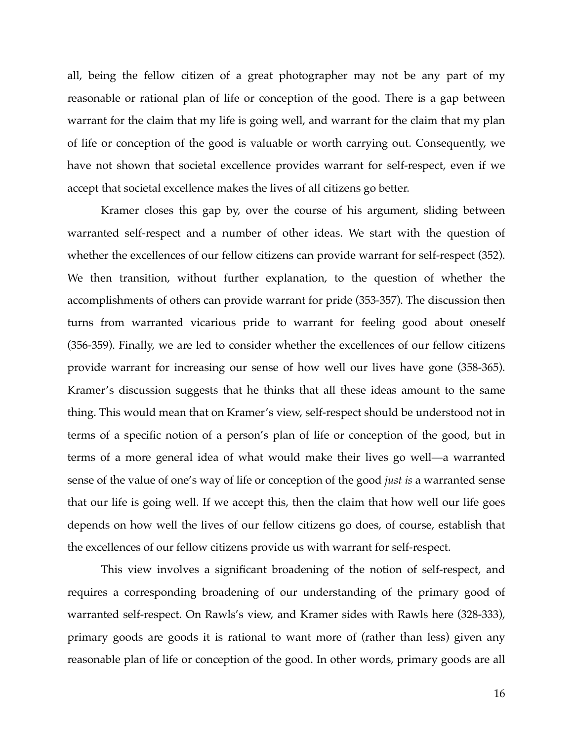all, being the fellow citizen of a great photographer may not be any part of my reasonable or rational plan of life or conception of the good. There is a gap between warrant for the claim that my life is going well, and warrant for the claim that my plan of life or conception of the good is valuable or worth carrying out. Consequently, we have not shown that societal excellence provides warrant for self-respect, even if we accept that societal excellence makes the lives of all citizens go better.

Kramer closes this gap by, over the course of his argument, sliding between warranted self-respect and a number of other ideas. We start with the question of whether the excellences of our fellow citizens can provide warrant for self-respect (352). We then transition, without further explanation, to the question of whether the accomplishments of others can provide warrant for pride (353-357). The discussion then turns from warranted vicarious pride to warrant for feeling good about oneself (356-359). Finally, we are led to consider whether the excellences of our fellow citizens provide warrant for increasing our sense of how well our lives have gone (358-365). Kramer's discussion suggests that he thinks that all these ideas amount to the same thing. This would mean that on Kramer's view, self-respect should be understood not in terms of a specific notion of a person's plan of life or conception of the good, but in terms of a more general idea of what would make their lives go well—a warranted sense of the value of one's way of life or conception of the good *just is* a warranted sense that our life is going well. If we accept this, then the claim that how well our life goes depends on how well the lives of our fellow citizens go does, of course, establish that the excellences of our fellow citizens provide us with warrant for self-respect.

This view involves a significant broadening of the notion of self-respect, and requires a corresponding broadening of our understanding of the primary good of warranted self-respect. On Rawls's view, and Kramer sides with Rawls here (328-333), primary goods are goods it is rational to want more of (rather than less) given any reasonable plan of life or conception of the good. In other words, primary goods are all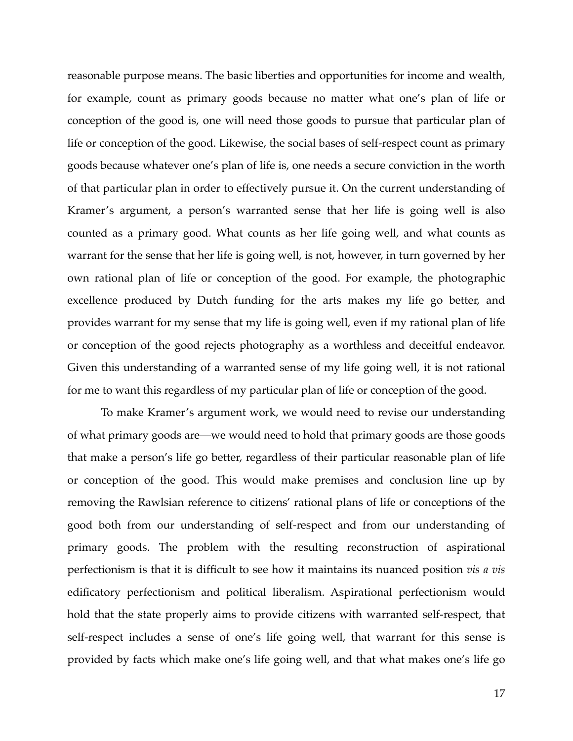reasonable purpose means. The basic liberties and opportunities for income and wealth, for example, count as primary goods because no matter what one's plan of life or conception of the good is, one will need those goods to pursue that particular plan of life or conception of the good. Likewise, the social bases of self-respect count as primary goods because whatever one's plan of life is, one needs a secure conviction in the worth of that particular plan in order to effectively pursue it. On the current understanding of Kramer's argument, a person's warranted sense that her life is going well is also counted as a primary good. What counts as her life going well, and what counts as warrant for the sense that her life is going well, is not, however, in turn governed by her own rational plan of life or conception of the good. For example, the photographic excellence produced by Dutch funding for the arts makes my life go better, and provides warrant for my sense that my life is going well, even if my rational plan of life or conception of the good rejects photography as a worthless and deceitful endeavor. Given this understanding of a warranted sense of my life going well, it is not rational for me to want this regardless of my particular plan of life or conception of the good.

To make Kramer's argument work, we would need to revise our understanding of what primary goods are—we would need to hold that primary goods are those goods that make a person's life go better, regardless of their particular reasonable plan of life or conception of the good. This would make premises and conclusion line up by removing the Rawlsian reference to citizens' rational plans of life or conceptions of the good both from our understanding of self-respect and from our understanding of primary goods. The problem with the resulting reconstruction of aspirational perfectionism is that it is difficult to see how it maintains its nuanced position *vis a vis* edificatory perfectionism and political liberalism. Aspirational perfectionism would hold that the state properly aims to provide citizens with warranted self-respect, that self-respect includes a sense of one's life going well, that warrant for this sense is provided by facts which make one's life going well, and that what makes one's life go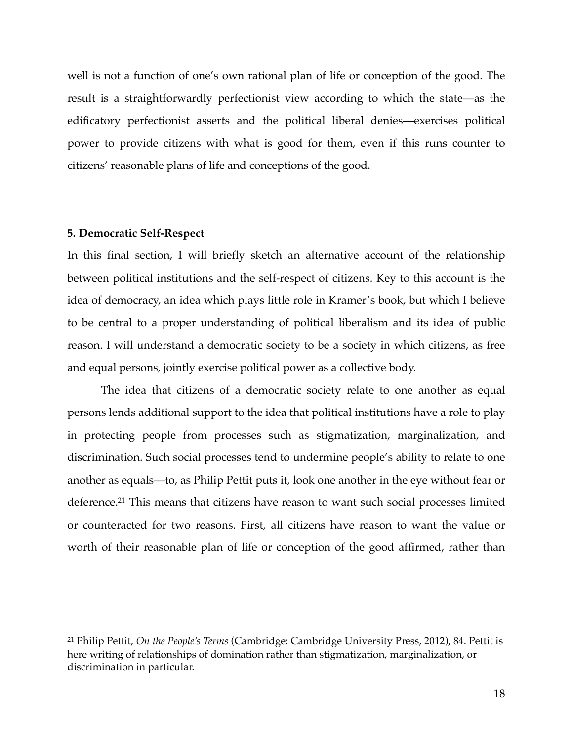well is not a function of one's own rational plan of life or conception of the good. The result is a straightforwardly perfectionist view according to which the state—as the edificatory perfectionist asserts and the political liberal denies—exercises political power to provide citizens with what is good for them, even if this runs counter to citizens' reasonable plans of life and conceptions of the good.

### **5. Democratic Self-Respect**

In this final section, I will briefly sketch an alternative account of the relationship between political institutions and the self-respect of citizens. Key to this account is the idea of democracy, an idea which plays little role in Kramer's book, but which I believe to be central to a proper understanding of political liberalism and its idea of public reason. I will understand a democratic society to be a society in which citizens, as free and equal persons, jointly exercise political power as a collective body.

<span id="page-17-1"></span>The idea that citizens of a democratic society relate to one another as equal persons lends additional support to the idea that political institutions have a role to play in protecting people from processes such as stigmatization, marginalization, and discrimination. Such social processes tend to undermine people's ability to relate to one another as equals—to, as Philip Pettit puts it, look one another in the eye without fear or deference.<sup>[21](#page-17-0)</sup> This means that citizens have reason to want such social processes limited or counteracted for two reasons. First, all citizens have reason to want the value or worth of their reasonable plan of life or conception of the good affirmed, rather than

<span id="page-17-0"></span><sup>&</sup>lt;sup>[21](#page-17-1)</sup> Philip Pettit, *On the People's Terms* (Cambridge: Cambridge University Press, 2012), 84. Pettit is here writing of relationships of domination rather than stigmatization, marginalization, or discrimination in particular.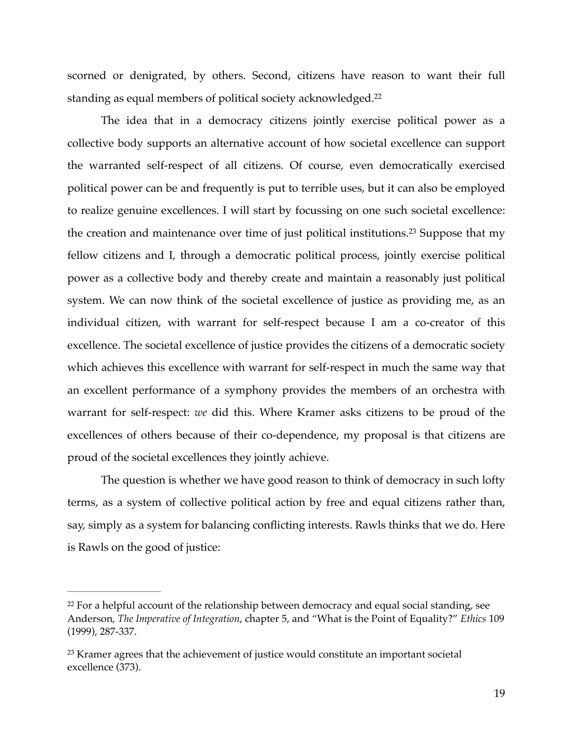<span id="page-18-2"></span>scorned or denigrated, by others. Second, citizens have reason to want their full standing as equal members of political society acknowledged.<sup>22</sup>

<span id="page-18-3"></span>The idea that in a democracy citizens jointly exercise political power as a collective body supports an alternative account of how societal excellence can support the warranted self-respect of all citizens. Of course, even democratically exercised political power can be and frequently is put to terrible uses, but it can also be employed to realize genuine excellences. I will start by focussing on one such societal excellence: the creation and maintenance over time of just political institutions.<sup>[23](#page-18-1)</sup> Suppose that my fellow citizens and I, through a democratic political process, jointly exercise political power as a collective body and thereby create and maintain a reasonably just political system. We can now think of the societal excellence of justice as providing me, as an individual citizen, with warrant for self-respect because I am a co-creator of this excellence. The societal excellence of justice provides the citizens of a democratic society which achieves this excellence with warrant for self-respect in much the same way that an excellent performance of a symphony provides the members of an orchestra with warrant for self-respect: *we* did this. Where Kramer asks citizens to be proud of the excellences of others because of their co-dependence, my proposal is that citizens are proud of the societal excellences they jointly achieve.

The question is whether we have good reason to think of democracy in such lofty terms, as a system of collective political action by free and equal citizens rather than, say, simply as a system for balancing conflicting interests. Rawls thinks that we do. Here is Rawls on the good of justice:

<span id="page-18-0"></span> $22$  For a helpful account of the relationship between democracy and equal social standing, see Anderson, *The Imperative of Integration*, chapter 5, and "What is the Point of Equality?" *Ethics* 109 (1999), 287-337.

<span id="page-18-1"></span> $23$  Kramer agrees that the achievement of justice would constitute an important societal excellence (373).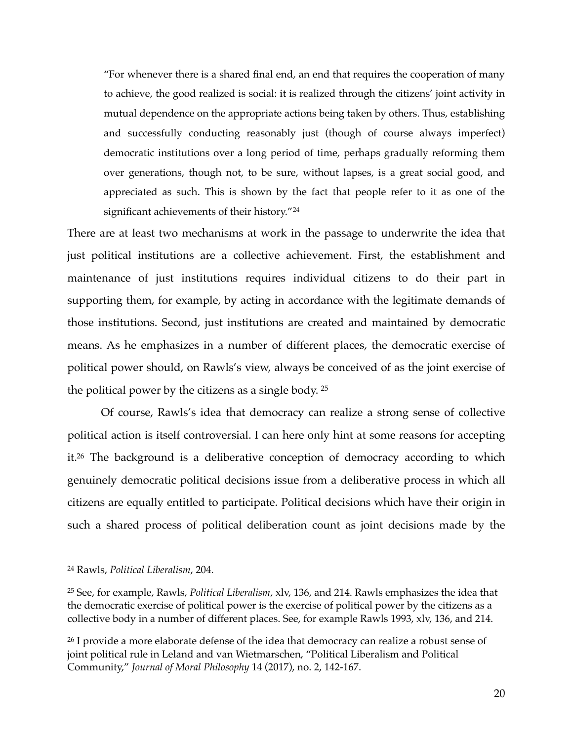"For whenever there is a shared final end, an end that requires the cooperation of many to achieve, the good realized is social: it is realized through the citizens' joint activity in mutual dependence on the appropriate actions being taken by others. Thus, establishing and successfully conducting reasonably just (though of course always imperfect) democratic institutions over a long period of time, perhaps gradually reforming them over generations, though not, to be sure, without lapses, is a great social good, and appreciated as such. This is shown by the fact that people refer to it as one of the significant achievements of their history."[24](#page-19-0)

<span id="page-19-3"></span>There are at least two mechanisms at work in the passage to underwrite the idea that just political institutions are a collective achievement. First, the establishment and maintenance of just institutions requires individual citizens to do their part in supporting them, for example, by acting in accordance with the legitimate demands of those institutions. Second, just institutions are created and maintained by democratic means. As he emphasizes in a number of different places, the democratic exercise of political power should, on Rawls's view, always be conceived of as the joint exercise of the political power by the citizens as a single body. [25](#page-19-1)

<span id="page-19-5"></span><span id="page-19-4"></span>Of course, Rawls's idea that democracy can realize a strong sense of collective political action is itself controversial. I can here only hint at some reasons for accepting it.<sup>[26](#page-19-2)</sup> The background is a deliberative conception of democracy according to which genuinely democratic political decisions issue from a deliberative process in which all citizens are equally entitled to participate. Political decisions which have their origin in such a shared process of political deliberation count as joint decisions made by the

<span id="page-19-0"></span><sup>&</sup>lt;sup>[24](#page-19-3)</sup> Rawls, *Political Liberalism*, 204.

<span id="page-19-1"></span>See, for example, Rawls, *Political Liberalism*, xlv, 136, and 214. Rawls emphasizes the idea that [25](#page-19-4) the democratic exercise of political power is the exercise of political power by the citizens as a collective body in a number of different places. See, for example Rawls 1993, xlv, 136, and 214.

<span id="page-19-2"></span><sup>&</sup>lt;sup>[26](#page-19-5)</sup> I provide a more elaborate defense of the idea that democracy can realize a robust sense of joint political rule in Leland and van Wietmarschen, "Political Liberalism and Political Community," *Journal of Moral Philosophy* 14 (2017), no. 2, 142-167.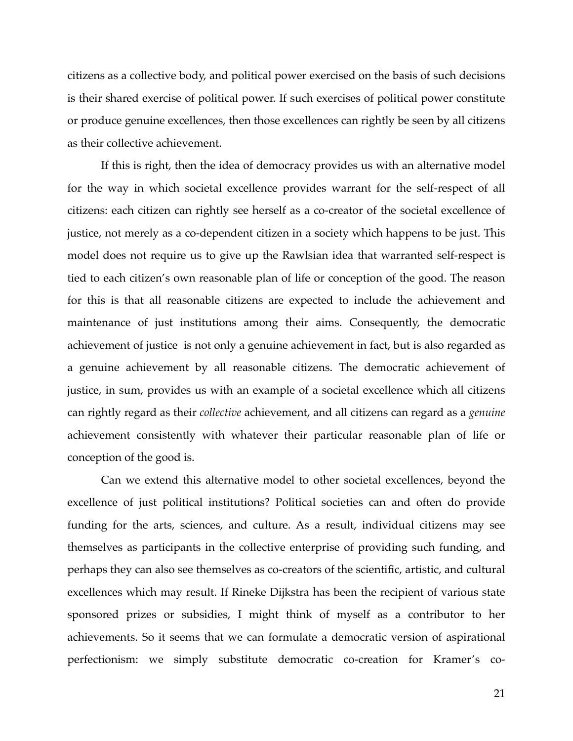citizens as a collective body, and political power exercised on the basis of such decisions is their shared exercise of political power. If such exercises of political power constitute or produce genuine excellences, then those excellences can rightly be seen by all citizens as their collective achievement.

If this is right, then the idea of democracy provides us with an alternative model for the way in which societal excellence provides warrant for the self-respect of all citizens: each citizen can rightly see herself as a co-creator of the societal excellence of justice, not merely as a co-dependent citizen in a society which happens to be just. This model does not require us to give up the Rawlsian idea that warranted self-respect is tied to each citizen's own reasonable plan of life or conception of the good. The reason for this is that all reasonable citizens are expected to include the achievement and maintenance of just institutions among their aims. Consequently, the democratic achievement of justice is not only a genuine achievement in fact, but is also regarded as a genuine achievement by all reasonable citizens. The democratic achievement of justice, in sum, provides us with an example of a societal excellence which all citizens can rightly regard as their *collective* achievement, and all citizens can regard as a *genuine* achievement consistently with whatever their particular reasonable plan of life or conception of the good is.

Can we extend this alternative model to other societal excellences, beyond the excellence of just political institutions? Political societies can and often do provide funding for the arts, sciences, and culture. As a result, individual citizens may see themselves as participants in the collective enterprise of providing such funding, and perhaps they can also see themselves as co-creators of the scientific, artistic, and cultural excellences which may result. If Rineke Dijkstra has been the recipient of various state sponsored prizes or subsidies, I might think of myself as a contributor to her achievements. So it seems that we can formulate a democratic version of aspirational perfectionism: we simply substitute democratic co-creation for Kramer's co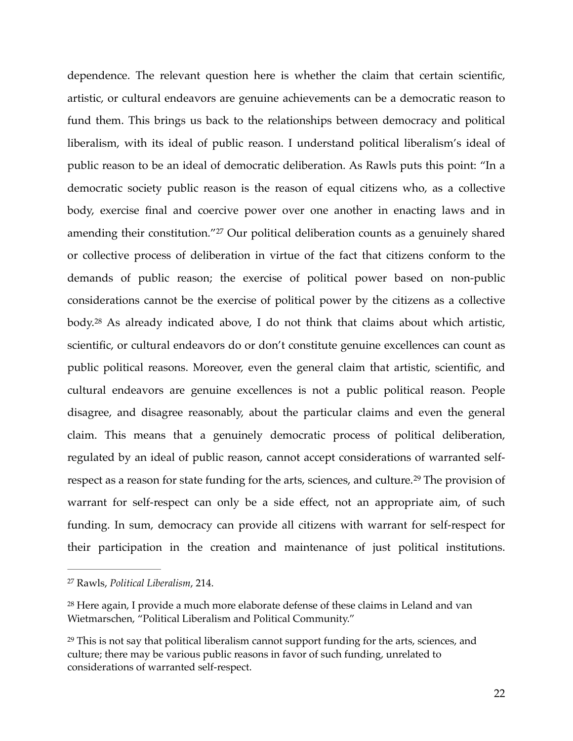<span id="page-21-4"></span><span id="page-21-3"></span>dependence. The relevant question here is whether the claim that certain scientific, artistic, or cultural endeavors are genuine achievements can be a democratic reason to fund them. This brings us back to the relationships between democracy and political liberalism, with its ideal of public reason. I understand political liberalism's ideal of public reason to be an ideal of democratic deliberation. As Rawls puts this point: "In a democratic society public reason is the reason of equal citizens who, as a collective body, exercise final and coercive power over one another in enacting laws and in amending their constitution."<sup>[27](#page-21-0)</sup> Our political deliberation counts as a genuinely shared or collective process of deliberation in virtue of the fact that citizens conform to the demands of public reason; the exercise of political power based on non-public considerations cannot be the exercise of political power by the citizens as a collective body.<sup>[28](#page-21-1)</sup> As already indicated above, I do not think that claims about which artistic, scientific, or cultural endeavors do or don't constitute genuine excellences can count as public political reasons. Moreover, even the general claim that artistic, scientific, and cultural endeavors are genuine excellences is not a public political reason. People disagree, and disagree reasonably, about the particular claims and even the general claim. This means that a genuinely democratic process of political deliberation, regulated by an ideal of public reason, cannot accept considerations of warranted self-respectas a reason for state funding for the arts, sciences, and culture.<sup>[29](#page-21-2)</sup> The provision of warrant for self-respect can only be a side effect, not an appropriate aim, of such funding. In sum, democracy can provide all citizens with warrant for self-respect for their participation in the creation and maintenance of just political institutions.

<span id="page-21-5"></span><span id="page-21-0"></span><sup>&</sup>lt;sup>[27](#page-21-3)</sup> Rawls, *Political Liberalism*, 214.

<span id="page-21-1"></span> $28$  Here again, I provide a much more elaborate defense of these claims in Leland and van Wietmarschen, "Political Liberalism and Political Community."

<span id="page-21-2"></span> $29$  This is not say that political liberalism cannot support funding for the arts, sciences, and culture; there may be various public reasons in favor of such funding, unrelated to considerations of warranted self-respect.